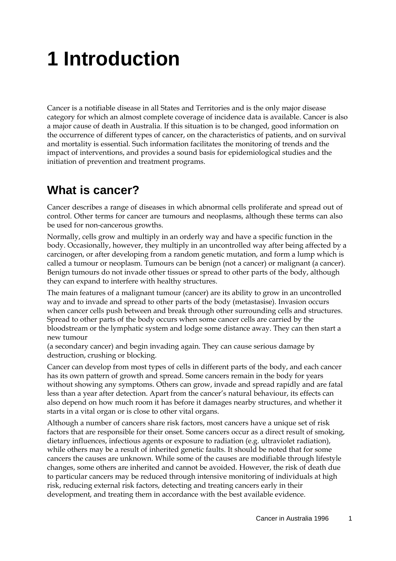# **1 Introduction**

Cancer is a notifiable disease in all States and Territories and is the only major disease category for which an almost complete coverage of incidence data is available. Cancer is also a major cause of death in Australia. If this situation is to be changed, good information on the occurrence of different types of cancer, on the characteristics of patients, and on survival and mortality is essential. Such information facilitates the monitoring of trends and the impact of interventions, and provides a sound basis for epidemiological studies and the initiation of prevention and treatment programs.

#### **What is cancer?**

Cancer describes a range of diseases in which abnormal cells proliferate and spread out of control. Other terms for cancer are tumours and neoplasms, although these terms can also be used for non-cancerous growths.

Normally, cells grow and multiply in an orderly way and have a specific function in the body. Occasionally, however, they multiply in an uncontrolled way after being affected by a carcinogen, or after developing from a random genetic mutation, and form a lump which is called a tumour or neoplasm. Tumours can be benign (not a cancer) or malignant (a cancer). Benign tumours do not invade other tissues or spread to other parts of the body, although they can expand to interfere with healthy structures.

The main features of a malignant tumour (cancer) are its ability to grow in an uncontrolled way and to invade and spread to other parts of the body (metastasise). Invasion occurs when cancer cells push between and break through other surrounding cells and structures. Spread to other parts of the body occurs when some cancer cells are carried by the bloodstream or the lymphatic system and lodge some distance away. They can then start a new tumour

(a secondary cancer) and begin invading again. They can cause serious damage by destruction, crushing or blocking.

Cancer can develop from most types of cells in different parts of the body, and each cancer has its own pattern of growth and spread. Some cancers remain in the body for years without showing any symptoms. Others can grow, invade and spread rapidly and are fatal less than a year after detection. Apart from the cancer's natural behaviour, its effects can also depend on how much room it has before it damages nearby structures, and whether it starts in a vital organ or is close to other vital organs.

Although a number of cancers share risk factors, most cancers have a unique set of risk factors that are responsible for their onset. Some cancers occur as a direct result of smoking, dietary influences, infectious agents or exposure to radiation (e.g. ultraviolet radiation), while others may be a result of inherited genetic faults. It should be noted that for some cancers the causes are unknown. While some of the causes are modifiable through lifestyle changes, some others are inherited and cannot be avoided. However, the risk of death due to particular cancers may be reduced through intensive monitoring of individuals at high risk, reducing external risk factors, detecting and treating cancers early in their development, and treating them in accordance with the best available evidence.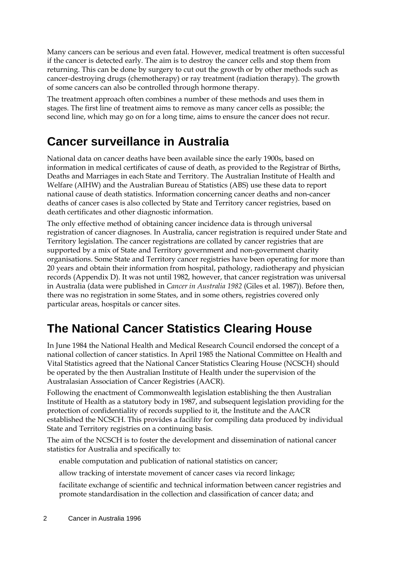Many cancers can be serious and even fatal. However, medical treatment is often successful if the cancer is detected early. The aim is to destroy the cancer cells and stop them from returning. This can be done by surgery to cut out the growth or by other methods such as cancer-destroying drugs (chemotherapy) or ray treatment (radiation therapy). The growth of some cancers can also be controlled through hormone therapy.

The treatment approach often combines a number of these methods and uses them in stages. The first line of treatment aims to remove as many cancer cells as possible; the second line, which may go on for a long time, aims to ensure the cancer does not recur.

### **Cancer surveillance in Australia**

National data on cancer deaths have been available since the early 1900s, based on information in medical certificates of cause of death, as provided to the Registrar of Births, Deaths and Marriages in each State and Territory. The Australian Institute of Health and Welfare (AIHW) and the Australian Bureau of Statistics (ABS) use these data to report national cause of death statistics. Information concerning cancer deaths and non-cancer deaths of cancer cases is also collected by State and Territory cancer registries, based on death certificates and other diagnostic information.

The only effective method of obtaining cancer incidence data is through universal registration of cancer diagnoses. In Australia, cancer registration is required under State and Territory legislation. The cancer registrations are collated by cancer registries that are supported by a mix of State and Territory government and non-government charity organisations. Some State and Territory cancer registries have been operating for more than 20 years and obtain their information from hospital, pathology, radiotherapy and physician records (Appendix D). It was not until 1982, however, that cancer registration was universal in Australia (data were published in *Cancer in Australia 1982* (Giles et al. 1987)). Before then, there was no registration in some States, and in some others, registries covered only particular areas, hospitals or cancer sites.

## **The National Cancer Statistics Clearing House**

In June 1984 the National Health and Medical Research Council endorsed the concept of a national collection of cancer statistics. In April 1985 the National Committee on Health and Vital Statistics agreed that the National Cancer Statistics Clearing House (NCSCH) should be operated by the then Australian Institute of Health under the supervision of the Australasian Association of Cancer Registries (AACR).

Following the enactment of Commonwealth legislation establishing the then Australian Institute of Health as a statutory body in 1987, and subsequent legislation providing for the protection of confidentiality of records supplied to it, the Institute and the AACR established the NCSCH. This provides a facility for compiling data produced by individual State and Territory registries on a continuing basis.

The aim of the NCSCH is to foster the development and dissemination of national cancer statistics for Australia and specifically to:

enable computation and publication of national statistics on cancer;

allow tracking of interstate movement of cancer cases via record linkage;

facilitate exchange of scientific and technical information between cancer registries and promote standardisation in the collection and classification of cancer data; and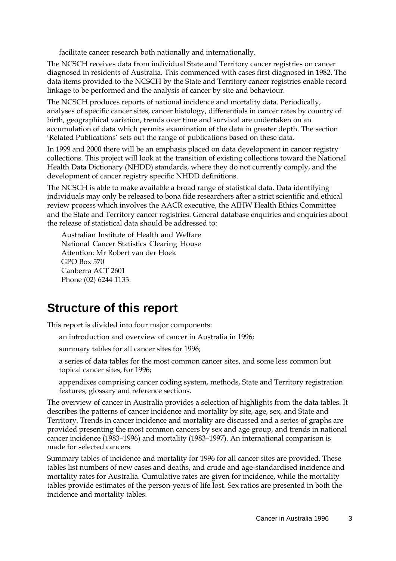facilitate cancer research both nationally and internationally.

The NCSCH receives data from individual State and Territory cancer registries on cancer diagnosed in residents of Australia. This commenced with cases first diagnosed in 1982. The data items provided to the NCSCH by the State and Territory cancer registries enable record linkage to be performed and the analysis of cancer by site and behaviour.

The NCSCH produces reports of national incidence and mortality data. Periodically, analyses of specific cancer sites, cancer histology, differentials in cancer rates by country of birth, geographical variation, trends over time and survival are undertaken on an accumulation of data which permits examination of the data in greater depth. The section 'Related Publications' sets out the range of publications based on these data.

In 1999 and 2000 there will be an emphasis placed on data development in cancer registry collections. This project will look at the transition of existing collections toward the National Health Data Dictionary (NHDD) standards, where they do not currently comply, and the development of cancer registry specific NHDD definitions.

The NCSCH is able to make available a broad range of statistical data. Data identifying individuals may only be released to bona fide researchers after a strict scientific and ethical review process which involves the AACR executive, the AIHW Health Ethics Committee and the State and Territory cancer registries. General database enquiries and enquiries about the release of statistical data should be addressed to:

Australian Institute of Health and Welfare National Cancer Statistics Clearing House Attention: Mr Robert van der Hoek GPO Box 570 Canberra ACT 2601 Phone (02) 6244 1133.

#### **Structure of this report**

This report is divided into four major components:

an introduction and overview of cancer in Australia in 1996;

summary tables for all cancer sites for 1996;

a series of data tables for the most common cancer sites, and some less common but topical cancer sites, for 1996;

appendixes comprising cancer coding system, methods, State and Territory registration features, glossary and reference sections.

The overview of cancer in Australia provides a selection of highlights from the data tables. It describes the patterns of cancer incidence and mortality by site, age, sex, and State and Territory. Trends in cancer incidence and mortality are discussed and a series of graphs are provided presenting the most common cancers by sex and age group, and trends in national cancer incidence (1983–1996) and mortality (1983–1997). An international comparison is made for selected cancers.

Summary tables of incidence and mortality for 1996 for all cancer sites are provided. These tables list numbers of new cases and deaths, and crude and age-standardised incidence and mortality rates for Australia. Cumulative rates are given for incidence, while the mortality tables provide estimates of the person-years of life lost. Sex ratios are presented in both the incidence and mortality tables.